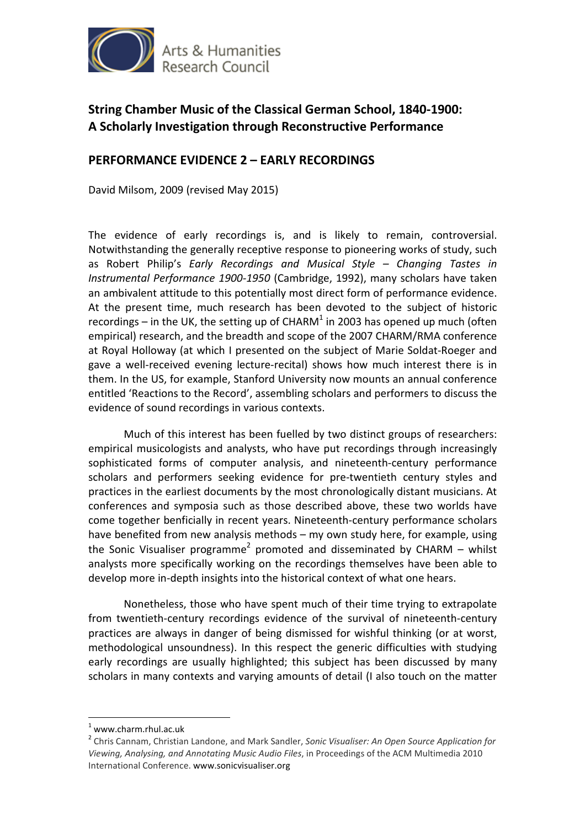

## **String Chamber Music of the Classical German School, 1840-1900: A Scholarly Investigation through Reconstructive Performance**

## **PERFORMANCE EVIDENCE 2 – EARLY RECORDINGS**

David Milsom, 2009 (revised May 2015)

The evidence of early recordings is, and is likely to remain, controversial. Notwithstanding the generally receptive response to pioneering works of study, such as Robert Philip's *Early Recordings and Musical Style – Changing Tastes in Instrumental Performance 1900-1950* (Cambridge, 1992), many scholars have taken an ambivalent attitude to this potentially most direct form of performance evidence. At the present time, much research has been devoted to the subject of historic recordings – in the UK, the setting up of CHARM<sup>1</sup> in 2003 has opened up much (often empirical) research, and the breadth and scope of the 2007 CHARM/RMA conference at Royal Holloway (at which I presented on the subject of Marie Soldat-Roeger and gave a well-received evening lecture-recital) shows how much interest there is in them. In the US, for example, Stanford University now mounts an annual conference entitled 'Reactions to the Record', assembling scholars and performers to discuss the evidence of sound recordings in various contexts.

 Much of this interest has been fuelled by two distinct groups of researchers: empirical musicologists and analysts, who have put recordings through increasingly sophisticated forms of computer analysis, and nineteenth-century performance scholars and performers seeking evidence for pre-twentieth century styles and practices in the earliest documents by the most chronologically distant musicians. At conferences and symposia such as those described above, these two worlds have come together benficially in recent years. Nineteenth-century performance scholars have benefited from new analysis methods – my own study here, for example, using the Sonic Visualiser programme<sup>2</sup> promoted and disseminated by CHARM – whilst analysts more specifically working on the recordings themselves have been able to develop more in-depth insights into the historical context of what one hears.

 Nonetheless, those who have spent much of their time trying to extrapolate from twentieth-century recordings evidence of the survival of nineteenth-century practices are always in danger of being dismissed for wishful thinking (or at worst, methodological unsoundness). In this respect the generic difficulties with studying early recordings are usually highlighted; this subject has been discussed by many scholars in many contexts and varying amounts of detail (I also touch on the matter

 $\overline{a}$ 

<sup>1</sup> www.charm.rhul.ac.uk

<sup>2</sup> Chris Cannam, Christian Landone, and Mark Sandler, *Sonic Visualiser: An Open Source Application for Viewing, Analysing, and Annotating Music Audio Files*, in Proceedings of the ACM Multimedia 2010 International Conference. www.sonicvisualiser.org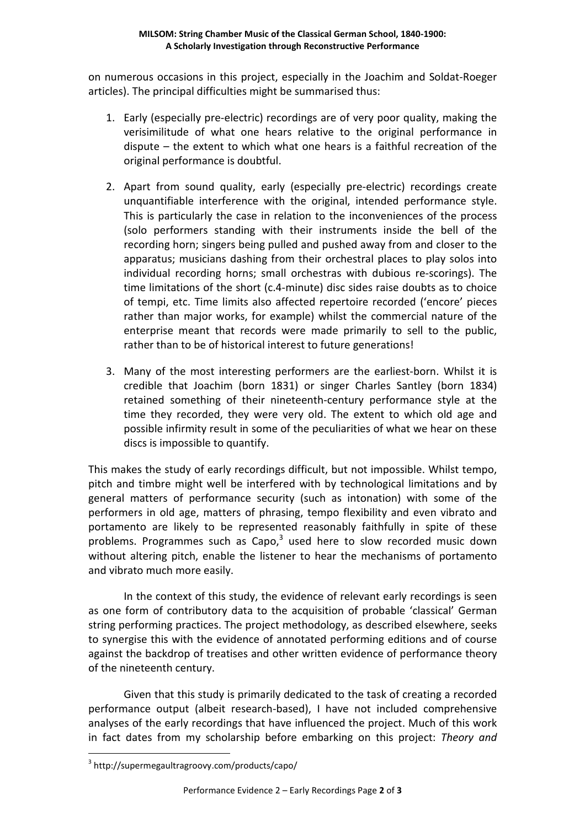on numerous occasions in this project, especially in the Joachim and Soldat-Roeger articles). The principal difficulties might be summarised thus:

- 1. Early (especially pre-electric) recordings are of very poor quality, making the verisimilitude of what one hears relative to the original performance in dispute – the extent to which what one hears is a faithful recreation of the original performance is doubtful.
- 2. Apart from sound quality, early (especially pre-electric) recordings create unquantifiable interference with the original, intended performance style. This is particularly the case in relation to the inconveniences of the process (solo performers standing with their instruments inside the bell of the recording horn; singers being pulled and pushed away from and closer to the apparatus; musicians dashing from their orchestral places to play solos into individual recording horns; small orchestras with dubious re-scorings). The time limitations of the short (c.4-minute) disc sides raise doubts as to choice of tempi, etc. Time limits also affected repertoire recorded ('encore' pieces rather than major works, for example) whilst the commercial nature of the enterprise meant that records were made primarily to sell to the public, rather than to be of historical interest to future generations!
- 3. Many of the most interesting performers are the earliest-born. Whilst it is credible that Joachim (born 1831) or singer Charles Santley (born 1834) retained something of their nineteenth-century performance style at the time they recorded, they were very old. The extent to which old age and possible infirmity result in some of the peculiarities of what we hear on these discs is impossible to quantify.

This makes the study of early recordings difficult, but not impossible. Whilst tempo, pitch and timbre might well be interfered with by technological limitations and by general matters of performance security (such as intonation) with some of the performers in old age, matters of phrasing, tempo flexibility and even vibrato and portamento are likely to be represented reasonably faithfully in spite of these problems. Programmes such as  $\text{Capo}_i^3$  used here to slow recorded music down without altering pitch, enable the listener to hear the mechanisms of portamento and vibrato much more easily.

 In the context of this study, the evidence of relevant early recordings is seen as one form of contributory data to the acquisition of probable 'classical' German string performing practices. The project methodology, as described elsewhere, seeks to synergise this with the evidence of annotated performing editions and of course against the backdrop of treatises and other written evidence of performance theory of the nineteenth century.

 Given that this study is primarily dedicated to the task of creating a recorded performance output (albeit research-based), I have not included comprehensive analyses of the early recordings that have influenced the project. Much of this work in fact dates from my scholarship before embarking on this project: *Theory and* 

 $\overline{a}$ 

<sup>3</sup> http://supermegaultragroovy.com/products/capo/